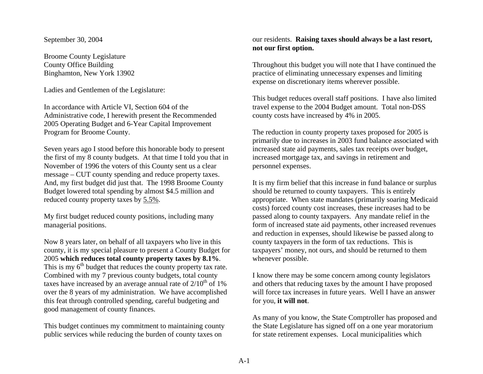September 30, 2004

Broome County Legislature County Office Building Binghamton, New York 13902

Ladies and Gentlemen of the Legislature:

In accordance with Article VI, Section 604 of the Administrative code, I herewith present the Recommended 2005 Operating Budget and 6-Year Capital Improvement Program for Broome County.

Seven years ago I stood before this honorable body to present the first of my 8 county budgets. At that time I told you that in November of 1996 the voters of this County sent us a clear message – CUT county spending and reduce property taxes. And, my first budget did just that. The 1998 Broome County Budget lowered total spending by almost \$4.5 million and reduced county property taxes by 5.5%.

My first budget reduced county positions, including many managerial positions.

Now 8 years later, on behalf of all taxpayers who live in this county, it is my special pleasure to present a County Budget for 2005 **which reduces total county property taxes by 8.1%**. This is my  $6<sup>th</sup>$  budget that reduces the county property tax rate. Combined with my 7 previous county budgets, total county taxes have increased by an average annual rate of  $2/10^{th}$  of 1% over the 8 years of my administration. We have accomplished this feat through controlled spending, careful budgeting and good management of county finances.

This budget continues my commitment to maintaining county public services while reducing the burden of county taxes on

## our residents. **Raising taxes should always be a last resort, not our first option.**

Throughout this budget you will note that I have continued the practice of eliminating unnecessary expenses and limiting expense on discretionary items wherever possible.

This budget reduces overall staff positions. I have also limited travel expense to the 2004 Budget amount. Total non-DSS county costs have increased by 4% in 2005.

The reduction in county property taxes proposed for 2005 is primarily due to increases in 2003 fund balance associated with increased state aid payments, sales tax receipts over budget, increased mortgage tax, and savings in retirement and personnel expenses.

It is my firm belief that this increase in fund balance or surplus should be returned to county taxpayers. This is entirely appropriate. When state mandates (primarily soaring Medicaid costs) forced county cost increases, these increases had to be passed along to county taxpayers. Any mandate relief in the form of increased state aid payments, other increased revenues and reduction in expenses, should likewise be passed along to county taxpayers in the form of tax reductions. This is taxpayers' money, not ours, and should be returned to them whenever possible.

I know there may be some concern among county legislators and others that reducing taxes by the amount I have proposed will force tax increases in future years. Well I have an answer for you, **it will not**.

As many of you know, the State Comptroller has proposed and the State Legislature has signed off on a one year moratorium for state retirement expenses. Local municipalities which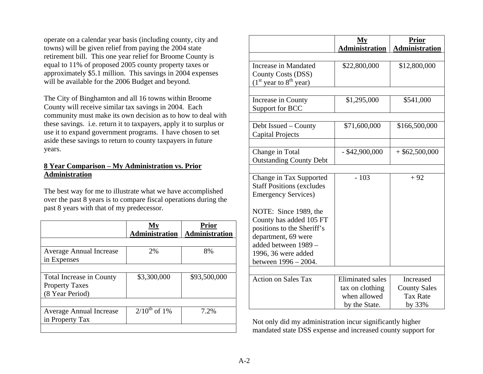operate on a calendar year basis (including county, city and towns) will be given relief from paying the 2004 state retirement bill. This one year relief for Broome County is equal to 11% of proposed 2005 county property taxes or approximately \$5.1 million. This savings in 2004 expenses will be available for the 2006 Budget and beyond.

The City of Binghamton and all 16 towns within Broome County will receive similar tax savings in 2004. Each community must make its own decision as to how to deal with these savings. i.e. return it to taxpayers, apply it to surplus or use it to expand government programs. I have chosen to set aside these savings to return to county taxpayers in future years.

## **8 Year Comparison – My Administration vs. Prior Administration**

The best way for me to illustrate what we have accomplished over the past 8 years is to compare fiscal operations during the past 8 years with that of my predecessor.

|                                 | Мy<br><b>Administration</b> | <b>Prior</b><br><b>Administration</b> |
|---------------------------------|-----------------------------|---------------------------------------|
|                                 |                             |                                       |
| <b>Average Annual Increase</b>  | 2%                          | 8%                                    |
| in Expenses                     |                             |                                       |
|                                 |                             |                                       |
| <b>Total Increase in County</b> | \$3,300,000                 | \$93,500,000                          |
| <b>Property Taxes</b>           |                             |                                       |
| (8 Year Period)                 |                             |                                       |
|                                 |                             |                                       |
| <b>Average Annual Increase</b>  | $\frac{2}{10^{th}}$ of 1%   | 7.2%                                  |
| in Property Tax                 |                             |                                       |
|                                 |                             |                                       |

|                                  | $M_{\rm V}$<br><b>Administration</b> | <b>Prior</b><br><b>Administration</b> |
|----------------------------------|--------------------------------------|---------------------------------------|
|                                  |                                      |                                       |
| <b>Increase in Mandated</b>      | \$22,800,000                         | \$12,800,000                          |
| <b>County Costs (DSS)</b>        |                                      |                                       |
| $(1st$ year to $8th$ year)       |                                      |                                       |
|                                  |                                      |                                       |
| Increase in County               | \$1,295,000                          | \$541,000                             |
| Support for BCC                  |                                      |                                       |
|                                  |                                      |                                       |
| Debt Issued – County             | \$71,600,000                         | \$166,500,000                         |
| <b>Capital Projects</b>          |                                      |                                       |
|                                  |                                      |                                       |
| Change in Total                  | $-$ \$42,900,000                     | $+$ \$62,500,000                      |
| <b>Outstanding County Debt</b>   |                                      |                                       |
|                                  |                                      |                                       |
| Change in Tax Supported          | $-103$                               | $+92$                                 |
| <b>Staff Positions (excludes</b> |                                      |                                       |
| <b>Emergency Services</b> )      |                                      |                                       |
| NOTE: Since 1989, the            |                                      |                                       |
| County has added 105 FT          |                                      |                                       |
| positions to the Sheriff's       |                                      |                                       |
| department, 69 were              |                                      |                                       |
| added between 1989 -             |                                      |                                       |
| 1996, 36 were added              |                                      |                                       |
| between 1996 - 2004.             |                                      |                                       |
|                                  |                                      |                                       |
| <b>Action on Sales Tax</b>       | <b>Eliminated sales</b>              | Increased                             |
|                                  | tax on clothing                      | <b>County Sales</b>                   |
|                                  | when allowed                         | <b>Tax Rate</b>                       |
|                                  | by the State.                        | by 33%                                |

Not only did my administration incur significantly higher mandated state DSS expense and increased county support for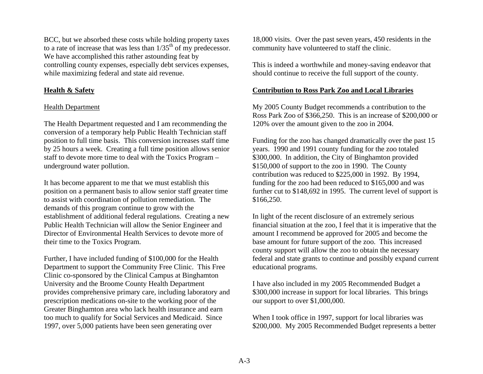BCC, but we absorbed these costs while holding property taxes to a rate of increase that was less than  $1/35<sup>th</sup>$  of my predecessor. We have accomplished this rather astounding feat by controlling county expenses, especially debt services expenses, while maximizing federal and state aid revenue.

#### **Health & Safety**

#### Health Department

The Health Department requested and I am recommending the conversion of a temporary help Public Health Technician staff position to full time basis. This conversion increases staff time by 25 hours a week. Creating a full time position allows senior staff to devote more time to deal with the Toxics Program – underground water pollution.

It has become apparent to me that we must establish this position on a permanent basis to allow senior staff greater time to assist with coordination of pollution remediation. The demands of this program continue to grow with the establishment of additional federal regulations. Creating a new Public Health Technician will allow the Senior Engineer and Director of Environmental Health Services to devote more of their time to the Toxics Program.

Further, I have included funding of \$100,000 for the Health Department to support the Community Free Clinic. This Free Clinic co-sponsored by the Clinical Campus at Binghamton University and the Broome County Health Department provides comprehensive primary care, including laboratory and prescription medications on-site to the working poor of the Greater Binghamton area who lack health insurance and earn too much to qualify for Social Services and Medicaid. Since 1997, over 5,000 patients have been seen generating over

18,000 visits. Over the past seven years, 450 residents in the community have volunteered to staff the clinic.

This is indeed a worthwhile and money-saving endeavor that should continue to receive the full support of the county.

#### **Contribution to Ross Park Zoo and Local Libraries**

My 2005 County Budget recommends a contribution to the Ross Park Zoo of \$366,250. This is an increase of \$200,000 or 120% over the amount given to the zoo in 2004.

Funding for the zoo has changed dramatically over the past 15 years. 1990 and 1991 county funding for the zoo totaled \$300,000. In addition, the City of Binghamton provided \$150,000 of support to the zoo in 1990. The County contribution was reduced to \$225,000 in 1992. By 1994, funding for the zoo had been reduced to \$165,000 and was further cut to \$148,692 in 1995. The current level of support is \$166,250.

In light of the recent disclosure of an extremely serious financial situation at the zoo, I feel that it is imperative that the amount I recommend be approved for 2005 and become the base amount for future support of the zoo. This increased county support will allow the zoo to obtain the necessary federal and state grants to continue and possibly expand current educational programs.

I have also included in my 2005 Recommended Budget a \$300,000 increase in support for local libraries. This brings our support to over \$1,000,000.

When I took office in 1997, support for local libraries was \$200,000. My 2005 Recommended Budget represents a better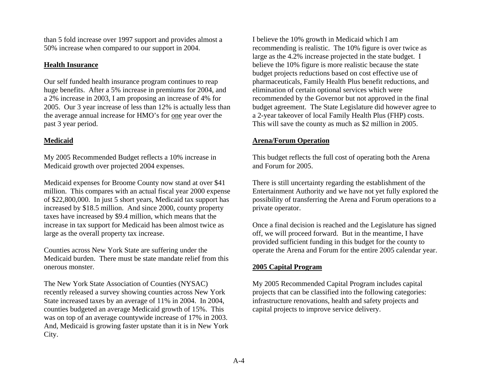than 5 fold increase over 1997 support and provides almost a 50% increase when compared to our support in 2004.

# **Health Insurance**

Our self funded health insurance program continues to reap huge benefits. After a 5% increase in premiums for 2004, and a 2% increase in 2003, I am proposing an increase of 4% for 2005. Our 3 year increase of less than 12% is actually less than the average annual increase for HMO's for one year over the past 3 year period.

# **Medicaid**

My 2005 Recommended Budget reflects a 10% increase in Medicaid growth over projected 2004 expenses.

Medicaid expenses for Broome County now stand at over \$41 million. This compares with an actual fiscal year 2000 expense of \$22,800,000. In just 5 short years, Medicaid tax support has increased by \$18.5 million. And since 2000, county property taxes have increased by \$9.4 million, which means that the increase in tax support for Medicaid has been almost twice as large as the overall property tax increase.

Counties across New York State are suffering under the Medicaid burden. There must be state mandate relief from this onerous monster.

The New York State Association of Counties (NYSAC) recently released a survey showing counties across New York State increased taxes by an average of 11% in 2004. In 2004, counties budgeted an average Medicaid growth of 15%. This was on top of an average countywide increase of 17% in 2003. And, Medicaid is growing faster upstate than it is in New York City.

I believe the 10% growth in Medicaid which I am recommending is realistic. The 10% figure is over twice as large as the 4.2% increase projected in the state budget. I believe the 10% figure is more realistic because the state budget projects reductions based on cost effective use of pharmaceuticals, Family Health Plus benefit reductions, and elimination of certain optional services which were recommended by the Governor but not approved in the final budget agreement. The State Legislature did however agree to a 2-year takeover of local Family Health Plus (FHP) costs. This will save the county as much as \$2 million in 2005.

# **Arena/Forum Operation**

This budget reflects the full cost of operating both the Arena and Forum for 2005.

There is still uncertainty regarding the establishment of the Entertainment Authority and we have not yet fully explored the possibility of transferring the Arena and Forum operations to a private operator.

Once a final decision is reached and the Legislature has signed off, we will proceed forward. But in the meantime, I have provided sufficient funding in this budget for the county to operate the Arena and Forum for the entire 2005 calendar year.

# **2005 Capital Program**

My 2005 Recommended Capital Program includes capital projects that can be classified into the following categories: infrastructure renovations, health and safety projects and capital projects to improve service delivery.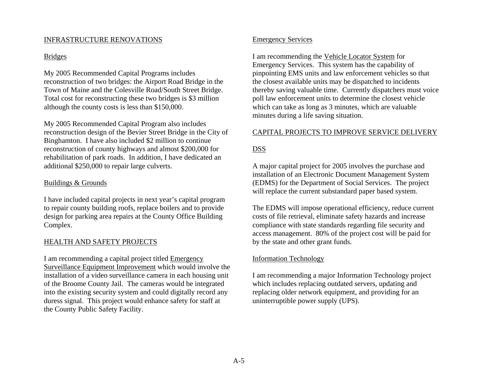### INFRASTRUCTURE RENOVATIONS

### Bridges

My 2005 Recommended Capital Programs includes reconstruction of two bridges: the Airport Road Bridge in the Town of Maine and the Colesville Road/South Street Bridge. Total cost for reconstructing these two bridges is \$3 million although the county costs is less than \$150,000.

My 2005 Recommended Capital Program also includes reconstruction design of the Bevier Street Bridge in the City of Binghamton. I have also included \$2 million to continue reconstruction of county highways and almost \$200,000 for rehabilitation of park roads. In addition, I have dedicated an additional \$250,000 to repair large culverts.

#### Buildings & Grounds

I have included capital projects in next year's capital program to repair county building roofs, replace boilers and to provide design for parking area repairs at the County Office Building Complex.

### HEALTH AND SAFETY PROJECTS

I am recommending a capital project titled Emergency Surveillance Equipment Improvement which would involve the installation of a video surveillance camera in each housing unit of the Broome County Jail. The cameras would be integrated into the existing security system and could digitally record any duress signal. This project would enhance safety for staff at the County Public Safety Facility.

#### Emergency Services

I am recommending the Vehicle Locator System for Emergency Services. This system has the capability of pinpointing EMS units and law enforcement vehicles so that the closest available units may be dispatched to incidents thereby saving valuable time. Currently dispatchers must voice poll law enforcement units to determine the closest vehicle which can take as long as 3 minutes, which are valuable minutes during a life saving situation.

#### CAPITAL PROJECTS TO IMPROVE SERVICE DELIVERY

# DSS

A major capital project for 2005 involves the purchase and installation of an Electronic Document Management System (EDMS) for the Department of Social Services. The project will replace the current substandard paper based system.

The EDMS will impose operational efficiency, reduce current costs of file retrieval, eliminate safety hazards and increase compliance with state standards regarding file security and access management. 80% of the project cost will be paid for by the state and other grant funds.

#### Information Technology

I am recommending a major Information Technology project which includes replacing outdated servers, updating and replacing older network equipment, and providing for an uninterruptible power supply (UPS).